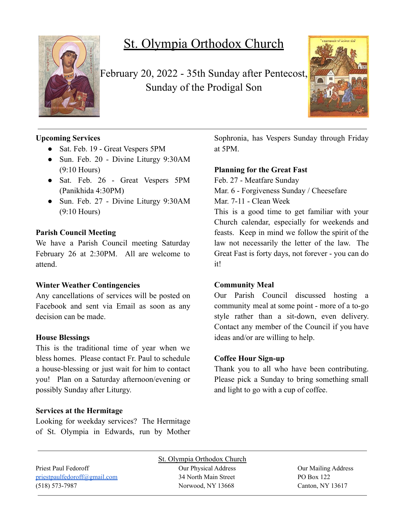

# St. Olympia Orthodox Church

February 20, 2022 - 35th Sunday after Pentecost, Sunday of the Prodigal Son



# **Upcoming Services**

- Sat. Feb. 19 Great Vespers 5PM
- Sun. Feb. 20 Divine Liturgy 9:30AM (9:10 Hours)
- Sat. Feb. 26 Great Vespers 5PM (Panikhida 4:30PM)
- Sun. Feb. 27 Divine Liturgy 9:30AM (9:10 Hours)

## **Parish Council Meeting**

We have a Parish Council meeting Saturday February 26 at 2:30PM. All are welcome to attend.

## **Winter Weather Contingencies**

Any cancellations of services will be posted on Facebook and sent via Email as soon as any decision can be made.

## **House Blessings**

This is the traditional time of year when we bless homes. Please contact Fr. Paul to schedule a house-blessing or just wait for him to contact you! Plan on a Saturday afternoon/evening or possibly Sunday after Liturgy.

## **Services at the Hermitage**

Looking for weekday services? The Hermitage of St. Olympia in Edwards, run by Mother Sophronia, has Vespers Sunday through Friday at 5PM.

#### **Planning for the Great Fast**

Feb. 27 - Meatfare Sunday Mar. 6 - Forgiveness Sunday / Cheesefare Mar. 7-11 - Clean Week

This is a good time to get familiar with your Church calendar, especially for weekends and feasts. Keep in mind we follow the spirit of the law not necessarily the letter of the law. The Great Fast is forty days, not forever - you can do it!

#### **Community Meal**

Our Parish Council discussed hosting a community meal at some point - more of a to-go style rather than a sit-down, even delivery. Contact any member of the Council if you have ideas and/or are willing to help.

#### **Coffee Hour Sign-up**

Thank you to all who have been contributing. Please pick a Sunday to bring something small and light to go with a cup of coffee.

St. Olympia Orthodox Church Priest Paul Fedoroff **Our Physical Address** Our Physical Address **Our Mailing Address** [priestpaulfedoroff@gmail.com](mailto:priestpaulfedoroff@gmail.com) 34 North Main Street PO Box 122 (518) 573-7987 Norwood, NY 13668 Canton, NY 13617